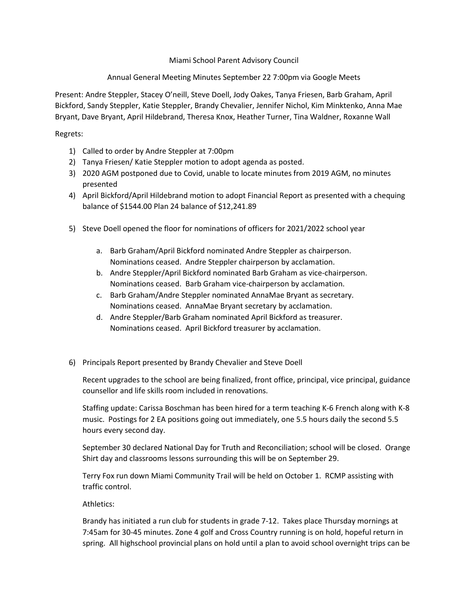## Miami School Parent Advisory Council

## Annual General Meeting Minutes September 22 7:00pm via Google Meets

Present: Andre Steppler, Stacey O'neill, Steve Doell, Jody Oakes, Tanya Friesen, Barb Graham, April Bickford, Sandy Steppler, Katie Steppler, Brandy Chevalier, Jennifer Nichol, Kim Minktenko, Anna Mae Bryant, Dave Bryant, April Hildebrand, Theresa Knox, Heather Turner, Tina Waldner, Roxanne Wall

## Regrets:

- 1) Called to order by Andre Steppler at 7:00pm
- 2) Tanya Friesen/ Katie Steppler motion to adopt agenda as posted.
- 3) 2020 AGM postponed due to Covid, unable to locate minutes from 2019 AGM, no minutes presented
- 4) April Bickford/April Hildebrand motion to adopt Financial Report as presented with a chequing balance of \$1544.00 Plan 24 balance of \$12,241.89
- 5) Steve Doell opened the floor for nominations of officers for 2021/2022 school year
	- a. Barb Graham/April Bickford nominated Andre Steppler as chairperson. Nominations ceased. Andre Steppler chairperson by acclamation.
	- b. Andre Steppler/April Bickford nominated Barb Graham as vice-chairperson. Nominations ceased. Barb Graham vice-chairperson by acclamation.
	- c. Barb Graham/Andre Steppler nominated AnnaMae Bryant as secretary. Nominations ceased. AnnaMae Bryant secretary by acclamation.
	- d. Andre Steppler/Barb Graham nominated April Bickford as treasurer. Nominations ceased. April Bickford treasurer by acclamation.
- 6) Principals Report presented by Brandy Chevalier and Steve Doell

Recent upgrades to the school are being finalized, front office, principal, vice principal, guidance counsellor and life skills room included in renovations.

Staffing update: Carissa Boschman has been hired for a term teaching K-6 French along with K-8 music. Postings for 2 EA positions going out immediately, one 5.5 hours daily the second 5.5 hours every second day.

September 30 declared National Day for Truth and Reconciliation; school will be closed. Orange Shirt day and classrooms lessons surrounding this will be on September 29.

Terry Fox run down Miami Community Trail will be held on October 1. RCMP assisting with traffic control.

## Athletics:

Brandy has initiated a run club for students in grade 7-12. Takes place Thursday mornings at 7:45am for 30-45 minutes. Zone 4 golf and Cross Country running is on hold, hopeful return in spring. All highschool provincial plans on hold until a plan to avoid school overnight trips can be